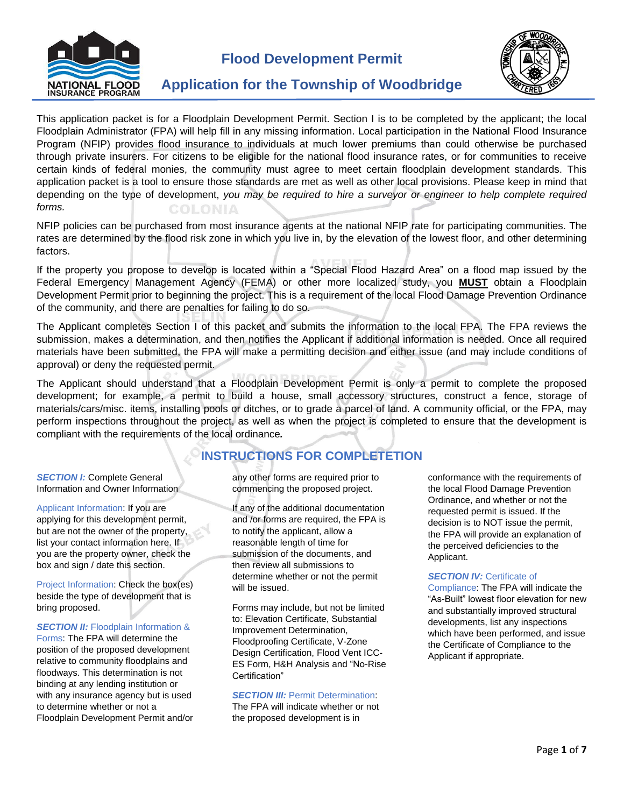

**Flood Development Permit**



# **Application for the Township of Woodbridge**

This application packet is for a Floodplain Development Permit. Section I is to be completed by the applicant; the local Floodplain Administrator (FPA) will help fill in any missing information. Local participation in the National Flood Insurance Program (NFIP) provides flood insurance to individuals at much lower premiums than could otherwise be purchased through private insurers. For citizens to be eligible for the national flood insurance rates, or for communities to receive certain kinds of federal monies, the community must agree to meet certain floodplain development standards. This application packet is a tool to ensure those standards are met as well as other local provisions. Please keep in mind that depending on the type of development, *you may be required to hire a surveyor or engineer to help complete required forms.* **COLONIA** 

NFIP policies can be purchased from most insurance agents at the national NFIP rate for participating communities. The rates are determined by the flood risk zone in which you live in, by the elevation of the lowest floor, and other determining factors.

If the property you propose to develop is located within a "Special Flood Hazard Area" on a flood map issued by the Federal Emergency Management Agency (FEMA) or other more localized study, you **MUST** obtain a Floodplain Development Permit prior to beginning the project. This is a requirement of the local Flood Damage Prevention Ordinance of the community, and there are penalties for failing to do so.

The Applicant completes Section I of this packet and submits the information to the local FPA. The FPA reviews the submission, makes a determination, and then notifies the Applicant if additional information is needed. Once all required materials have been submitted, the FPA will make a permitting decision and either issue (and may include conditions of approval) or deny the requested permit.

The Applicant should understand that a Floodplain Development Permit is only a permit to complete the proposed development; for example, a permit to build a house, small accessory structures, construct a fence, storage of materials/cars/misc. items, installing pools or ditches, or to grade a parcel of land. A community official, or the FPA, may perform inspections throughout the project, as well as when the project is completed to ensure that the development is compliant with the requirements of the local ordinance*.*

# **INSTRUCTIONS FOR COMPLETETION**

**SECTION I: Complete General** Information and Owner Information

Applicant Information: If you are applying for this development permit, but are not the owner of the property, list your contact information here. If you are the property owner, check the box and sign / date this section.

Project Information: Check the box(es) beside the type of development that is bring proposed.

## **SECTION II:** Floodplain Information &

Forms: The FPA will determine the position of the proposed development relative to community floodplains and floodways. This determination is not binding at any lending institution or with any insurance agency but is used to determine whether or not a Floodplain Development Permit and/or any other forms are required prior to commencing the proposed project.

If any of the additional documentation and /or forms are required, the FPA is to notify the applicant, allow a reasonable length of time for submission of the documents, and then review all submissions to determine whether or not the permit will be issued.

Forms may include, but not be limited to: Elevation Certificate, Substantial Improvement Determination, Floodproofing Certificate, V-Zone Design Certification, Flood Vent ICC-ES Form, H&H Analysis and "No-Rise Certification"

## *SECTION III: Permit Determination:*

The FPA will indicate whether or not the proposed development is in

conformance with the requirements of the local Flood Damage Prevention Ordinance, and whether or not the requested permit is issued. If the decision is to NOT issue the permit, the FPA will provide an explanation of the perceived deficiencies to the Applicant.

#### **SECTION IV: Certificate of**

Compliance: The FPA will indicate the "As-Built" lowest floor elevation for new and substantially improved structural developments, list any inspections which have been performed, and issue the Certificate of Compliance to the Applicant if appropriate.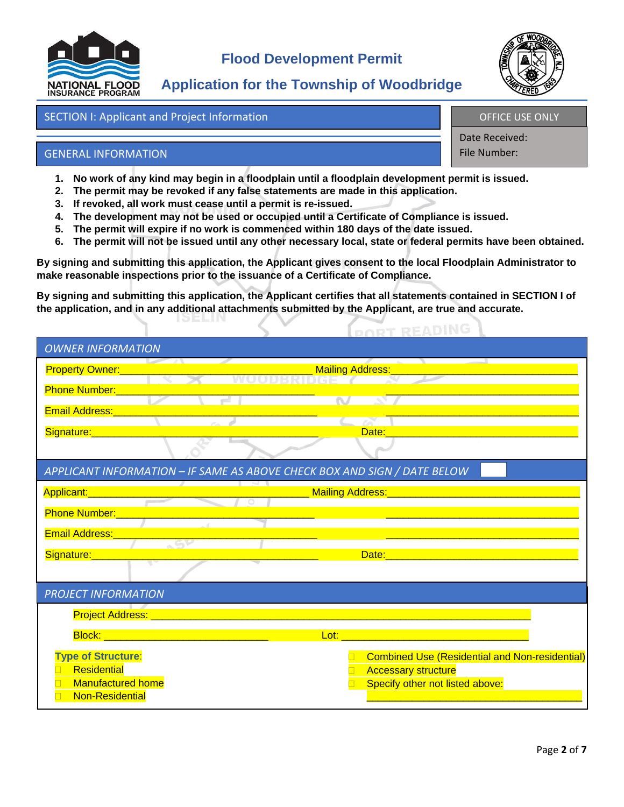

# **Application for the Township of Woodbridge**

# SECTION I: Applicant and Project Information

OFFICE USE ONLY

Date Received: File Number:

# GENERAL INFORMATION

- **1. No work of any kind may begin in a floodplain until a floodplain development permit is issued.**
- **2. The permit may be revoked if any false statements are made in this application.**
- **3. If revoked, all work must cease until a permit is re-issued.**
- **4. The development may not be used or occupied until a Certificate of Compliance is issued.**
- **5. The permit will expire if no work is commenced within 180 days of the date issued.**
- **6. The permit will not be issued until any other necessary local, state or federal permits have been obtained.**

**PORT READING** 

**By signing and submitting this application, the Applicant gives consent to the local Floodplain Administrator to make reasonable inspections prior to the issuance of a Certificate of Compliance.** 

**By signing and submitting this application, the Applicant certifies that all statements contained in SECTION I of the application, and in any additional attachments submitted by the Applicant, are true and accurate.** 

| <b>OWNER INFORMATION</b>                                                 |                                                               |  |  |  |
|--------------------------------------------------------------------------|---------------------------------------------------------------|--|--|--|
| <b>Property Owner:</b>                                                   | <b>Mailing Address:</b>                                       |  |  |  |
| <b>Phone Number:</b>                                                     | <b>STATE</b>                                                  |  |  |  |
| <b>Email Address:</b>                                                    |                                                               |  |  |  |
| Signature:                                                               | Date:                                                         |  |  |  |
|                                                                          |                                                               |  |  |  |
| APPLICANT INFORMATION - IF SAME AS ABOVE CHECK BOX AND SIGN / DATE BELOW |                                                               |  |  |  |
| Applicant:                                                               | Mailing Address:                                              |  |  |  |
| <b>Phone Number:</b>                                                     |                                                               |  |  |  |
| <b>Email Address:</b>                                                    |                                                               |  |  |  |
| Signature:                                                               | Date:                                                         |  |  |  |
|                                                                          |                                                               |  |  |  |
| <b>PROJECT INFORMATION</b>                                               |                                                               |  |  |  |
| <b>Project Address:</b>                                                  |                                                               |  |  |  |
| <mark>Block: __________</mark>                                           | Lot:                                                          |  |  |  |
| <b>Type of Structure:</b>                                                | <b>Combined Use (Residential and Non-residential)</b>         |  |  |  |
| Residential<br><b>Manufactured home</b>                                  | <b>Accessary structure</b><br>Specify other not listed above: |  |  |  |
| <b>Non-Residential</b>                                                   |                                                               |  |  |  |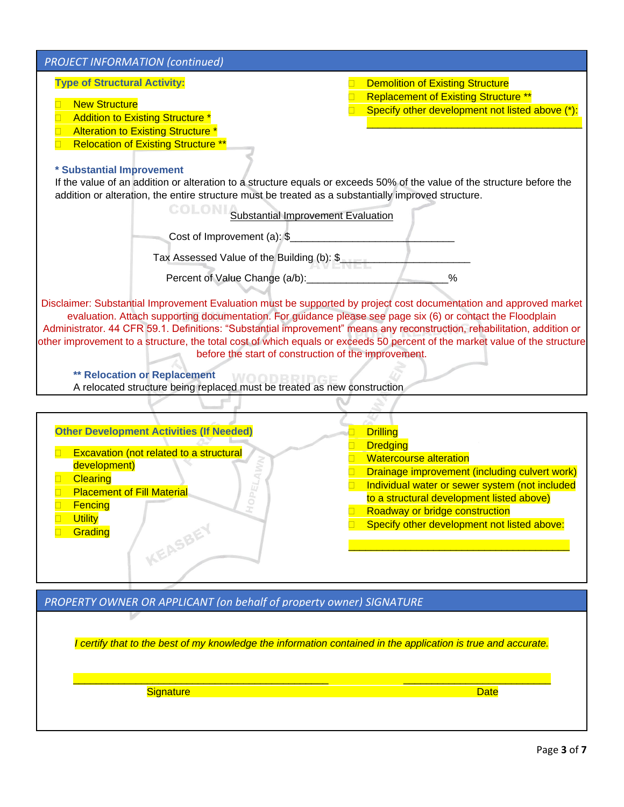| <b>PROJECT INFORMATION (continued)</b>                                                                                                                                                                                                                                                                                                                                                                                                                                                                                                                                                                                                                                              |                                                                                                                                                                                                                                                                                                                |
|-------------------------------------------------------------------------------------------------------------------------------------------------------------------------------------------------------------------------------------------------------------------------------------------------------------------------------------------------------------------------------------------------------------------------------------------------------------------------------------------------------------------------------------------------------------------------------------------------------------------------------------------------------------------------------------|----------------------------------------------------------------------------------------------------------------------------------------------------------------------------------------------------------------------------------------------------------------------------------------------------------------|
| <b>Type of Structural Activity:</b><br><b>New Structure</b><br>Addition to Existing Structure *<br>$\Box$<br>Alteration to Existing Structure *<br>$\Box$<br><b>Relocation of Existing Structure **</b><br>$\Box$                                                                                                                                                                                                                                                                                                                                                                                                                                                                   | <b>Demolition of Existing Structure</b><br><b>Replacement of Existing Structure **</b><br>Specify other development not listed above (*):                                                                                                                                                                      |
| * Substantial Improvement<br>If the value of an addition or alteration to a structure equals or exceeds 50% of the value of the structure before the<br>addition or alteration, the entire structure must be treated as a substantially improved structure.                                                                                                                                                                                                                                                                                                                                                                                                                         |                                                                                                                                                                                                                                                                                                                |
| COLONI<br>Substantial Improvement Evaluation<br>Cost of Improvement (a): \$                                                                                                                                                                                                                                                                                                                                                                                                                                                                                                                                                                                                         |                                                                                                                                                                                                                                                                                                                |
| Tax Assessed Value of the Building (b): \$<br>Percent of Value Change (a/b): ______________                                                                                                                                                                                                                                                                                                                                                                                                                                                                                                                                                                                         | $\frac{0}{0}$                                                                                                                                                                                                                                                                                                  |
| Disclaimer: Substantial Improvement Evaluation must be supported by project cost documentation and approved market<br>evaluation. Attach supporting documentation. For guidance please see page six (6) or contact the Floodplain<br>Administrator. 44 CFR 59.1. Definitions: "Substantial improvement" means any reconstruction, rehabilitation, addition or<br>other improvement to a structure, the total cost of which equals or exceeds 50 percent of the market value of the structure<br>before the start of construction of the improvement.<br><b>** Relocation or Replacement</b><br>WOODBRID<br>A relocated structure being replaced must be treated as new construction |                                                                                                                                                                                                                                                                                                                |
|                                                                                                                                                                                                                                                                                                                                                                                                                                                                                                                                                                                                                                                                                     |                                                                                                                                                                                                                                                                                                                |
| <b>Other Development Activities (If Needed)</b><br>Excavation (not related to a structural<br>development)<br><b>Clearing</b><br><b>Placement of Fill Material</b><br>$\Box$<br>Fencing<br><b>Utility</b><br>$\Box$<br>KEASBEY<br>Grading                                                                                                                                                                                                                                                                                                                                                                                                                                           | <b>Drilling</b><br>$\Box$<br><b>Dredging</b><br><b>Watercourse alteration</b><br>Drainage improvement (including culvert work)<br>Individual water or sewer system (not included<br>to a structural development listed above)<br>Roadway or bridge construction<br>Specify other development not listed above: |
| PROPERTY OWNER OR APPLICANT (on behalf of property owner) SIGNATURE                                                                                                                                                                                                                                                                                                                                                                                                                                                                                                                                                                                                                 |                                                                                                                                                                                                                                                                                                                |

*I certify that to the best of my knowledge the information contained in the application is true and accurate.*

 $\Box$ 

Signature Date Date Control of the Control of the Control of the Date Date

V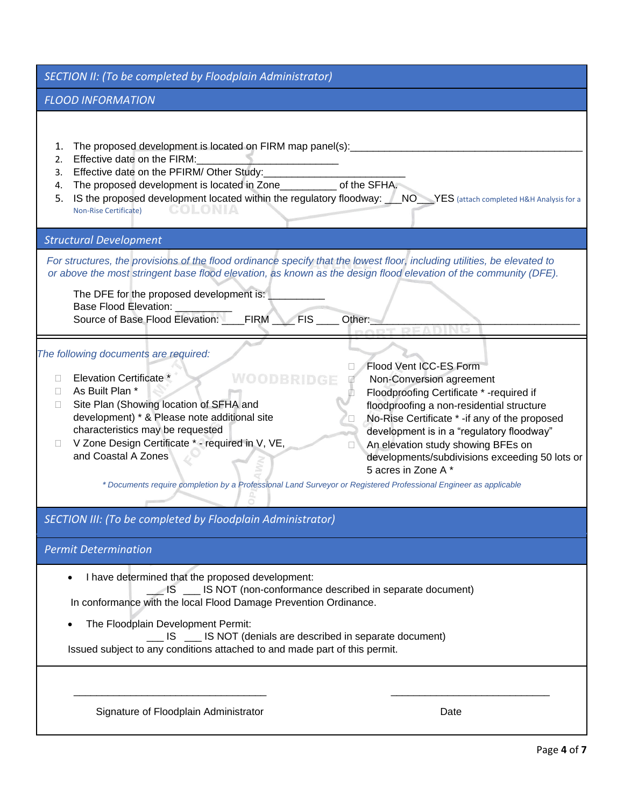|  | SECTION II: (To be completed by Floodplain Administrator) |  |  |
|--|-----------------------------------------------------------|--|--|
|--|-----------------------------------------------------------|--|--|

## *FLOOD INFORMATION*

- 1. The proposed development is located on FIRM map panel(s):
- 2. Effective date on the FIRM:
- 3. Effective date on the PFIRM/ Other Study:
- 4. The proposed development is located in Zone of the SFHA.
- 5. IS the proposed development located within the regulatory floodway: \_\_\_NO\_\_\_YES (attach completed H&H Analysis for a Non-Rise Certificate)

## *Structural Development*

 *For structures, the provisions of the flood ordinance specify that the lowest floor, including utilities, be elevated to or above the most stringent base flood elevation, as known as the design flood elevation of the community (DFE).* 

WOODBRIDGE

The DFE for the proposed development is: Base Flood Elevation: Source of Base Flood Elevation: \_\_\_\_FIRM \_\_\_\_\_FIS \_\_\_\_\_ Other:

## *The following documents are required:*

- Elevation Certificate \*
- As Built Plan \*
- □ Site Plan (Showing location of SFHA and development) \* & Please note additional site characteristics may be requested
- $\Box$  V Zone Design Certificate  $*$  required in V, VE, and Coastal A Zones

## □ Flood Vent ICC-ES Form Non-Conversion agreement Floodproofing Certificate \* -required if floodproofing a non-residential structure No-Rise Certificate \* -if any of the proposed development is in a "regulatory floodway" □ An elevation study showing BFEs on developments/subdivisions exceeding 50 lots or

5 acres in Zone A \*

*\* Documents require completion by a Professional Land Surveyor or Registered Professional Engineer as applicable*

\_\_\_\_\_\_\_\_\_\_\_\_\_\_\_\_\_\_\_\_\_\_\_\_\_\_\_\_\_\_\_\_\_\_ \_\_\_\_\_\_\_\_\_\_\_\_\_\_\_\_\_\_\_\_\_\_\_\_\_\_\_\_

## *SECTION III: (To be completed by Floodplain Administrator)*

## *Permit Determination*

• I have determined that the proposed development:

 \_\_\_ IS \_\_\_ IS NOT (non-conformance described in separate document) In conformance with the local Flood Damage Prevention Ordinance.

The Floodplain Development Permit:

 \_\_\_ IS \_\_\_ IS NOT (denials are described in separate document) Issued subject to any conditions attached to and made part of this permit.

Signature of Floodplain Administrator Date Date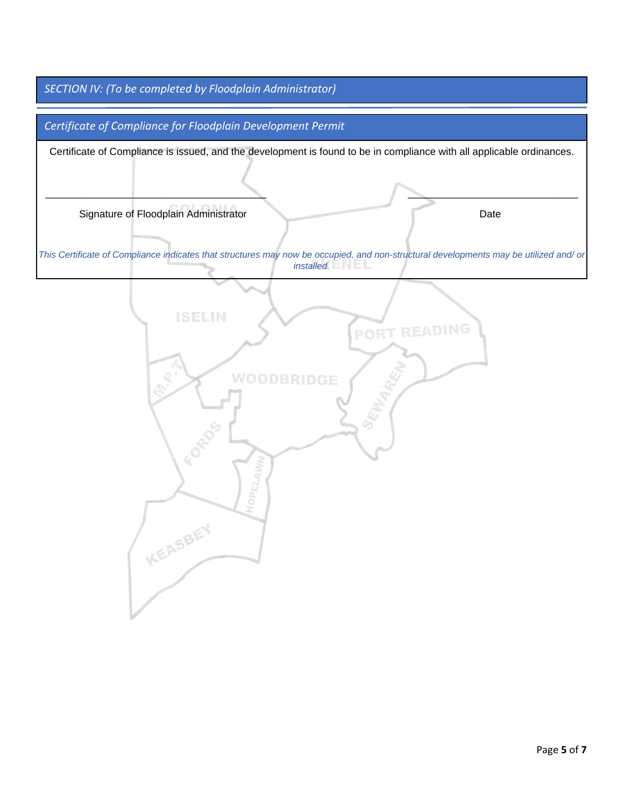*SECTION IV: (To be completed by Floodplain Administrator)*

*Certificate of Compliance for Floodplain Development Permit*

Certificate of Compliance is issued, and the development is found to be in compliance with all applicable ordinances.

\_\_\_\_\_\_\_\_\_\_\_\_\_\_\_\_\_\_\_\_\_\_\_\_\_\_\_\_\_\_\_\_\_\_\_\_\_\_\_ \_\_\_\_\_\_\_\_\_\_\_\_\_\_\_\_\_\_\_\_\_\_\_\_\_\_\_\_\_\_

Signature of Floodplain Administrator Date

*This Certificate of Compliance indicates that structures may now be occupied, and non-structural developments may be utilized and/ or installed.*

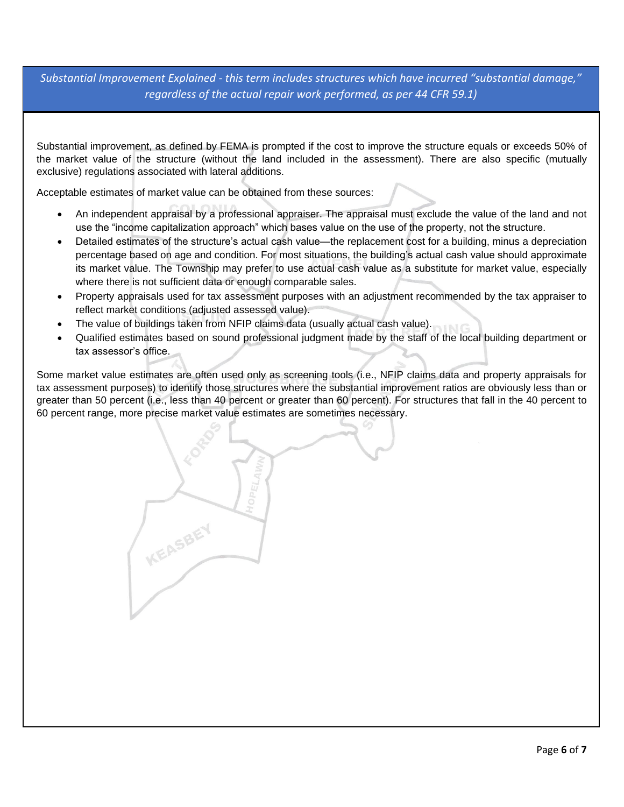*Substantial Improvement Explained - this term includes structures which have incurred "substantial damage," regardless of the actual repair work performed, as per 44 CFR 59.1)*

Substantial improvement, as defined by FEMA is prompted if the cost to improve the structure equals or exceeds 50% of the market value of the structure (without the land included in the assessment). There are also specific (mutually exclusive) regulations associated with lateral additions.

Acceptable estimates of market value can be obtained from these sources:

**KEASBEY** 

- An independent appraisal by a professional appraiser. The appraisal must exclude the value of the land and not use the "income capitalization approach" which bases value on the use of the property, not the structure.
- Detailed estimates of the structure's actual cash value—the replacement cost for a building, minus a depreciation percentage based on age and condition. For most situations, the building's actual cash value should approximate its market value. The Township may prefer to use actual cash value as a substitute for market value, especially where there is not sufficient data or enough comparable sales.
- Property appraisals used for tax assessment purposes with an adjustment recommended by the tax appraiser to reflect market conditions (adjusted assessed value).
- The value of buildings taken from NFIP claims data (usually actual cash value).
- Qualified estimates based on sound professional judgment made by the staff of the local building department or tax assessor's office.

Some market value estimates are often used only as screening tools (i.e., NFIP claims data and property appraisals for tax assessment purposes) to identify those structures where the substantial improvement ratios are obviously less than or greater than 50 percent (i.e., less than 40 percent or greater than 60 percent). For structures that fall in the 40 percent to 60 percent range, more precise market value estimates are sometimes necessary.